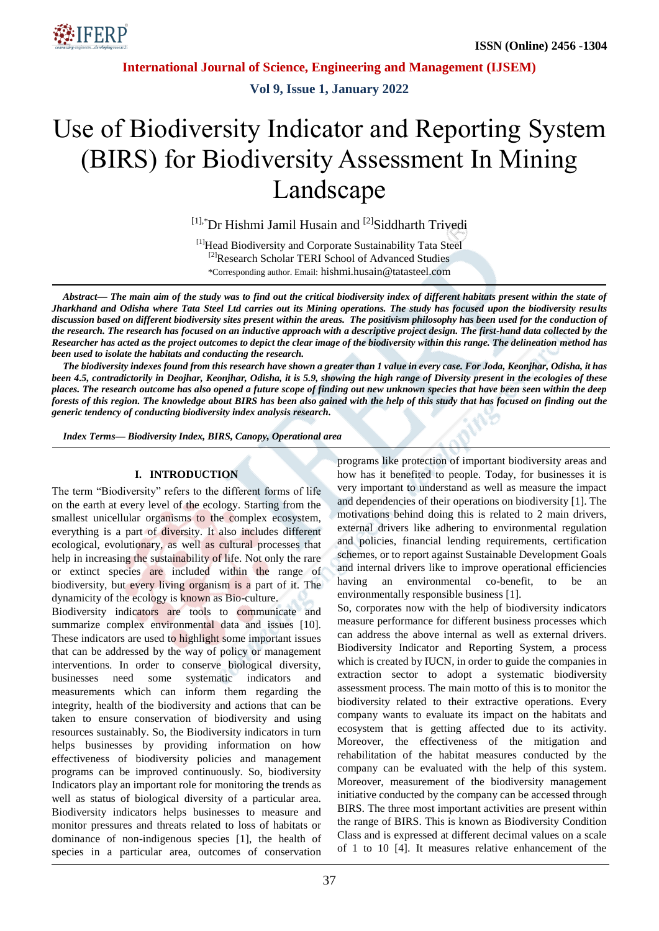

**Vol 9, Issue 1, January 2022**

# Use of Biodiversity Indicator and Reporting System (BIRS) for Biodiversity Assessment In Mining Landscape

 $[1]$ ,\*Dr Hishmi Jamil Husain and  $[2]$ Siddharth Trivedi

[1]Head Biodiversity and Corporate Sustainability Tata Steel <sup>[2]</sup>Research Scholar TERI School of Advanced Studies \*Corresponding author. Email: hishmi.husain@tatasteel.com

*Abstract— The main aim of the study was to find out the critical biodiversity index of different habitats present within the state of Jharkhand and Odisha where Tata Steel Ltd carries out its Mining operations. The study has focused upon the biodiversity results discussion based on different biodiversity sites present within the areas. The positivism philosophy has been used for the conduction of the research. The research has focused on an inductive approach with a descriptive project design. The first-hand data collected by the Researcher has acted as the project outcomes to depict the clear image of the biodiversity within this range. The delineation method has been used to isolate the habitats and conducting the research.* 

*The biodiversity indexes found from this research have shown a greater than 1 value in every case. For Joda, Keonjhar, Odisha, it has been 4.5, contradictorily in Deojhar, Keonjhar, Odisha, it is 5.9, showing the high range of Diversity present in the ecologies of these places. The research outcome has also opened a future scope of finding out new unknown species that have been seen within the deep forests of this region. The knowledge about BIRS has been also gained with the help of this study that has focused on finding out the generic tendency of conducting biodiversity index analysis research.*

*Index Terms— Biodiversity Index, BIRS, Canopy, Operational area*

#### **I. INTRODUCTION**

The term "Biodiversity" refers to the different forms of life on the earth at every level of the ecology. Starting from the smallest unicellular organisms to the complex ecosystem. everything is a part of diversity. It also includes different ecological, evolutionary, as well as cultural processes that help in increasing the sustainability of life. Not only the rare or extinct species are included within the range of biodiversity, but every living organism is a part of it. The dynamicity of the ecology is known as Bio-culture.

Biodiversity indicators are tools to communicate and summarize complex environmental data and issues [10]. These indicators are used to highlight some important issues that can be addressed by the way of policy or management interventions. In order to conserve biological diversity, businesses need some systematic indicators and measurements which can inform them regarding the integrity, health of the biodiversity and actions that can be taken to ensure conservation of biodiversity and using resources sustainably. So, the Biodiversity indicators in turn helps businesses by providing information on how effectiveness of biodiversity policies and management programs can be improved continuously. So, biodiversity Indicators play an important role for monitoring the trends as well as status of biological diversity of a particular area. Biodiversity indicators helps businesses to measure and monitor pressures and threats related to loss of habitats or dominance of non-indigenous species [1], the health of species in a particular area, outcomes of conservation programs like protection of important biodiversity areas and how has it benefited to people. Today, for businesses it is very important to understand as well as measure the impact and dependencies of their operations on biodiversity [1]. The motivations behind doing this is related to 2 main drivers, external drivers like adhering to environmental regulation and policies, financial lending requirements, certification schemes, or to report against Sustainable Development Goals and internal drivers like to improve operational efficiencies having an environmental co-benefit, to be an environmentally responsible business [1].

So, corporates now with the help of biodiversity indicators measure performance for different business processes which can address the above internal as well as external drivers. Biodiversity Indicator and Reporting System, a process which is created by IUCN, in order to guide the companies in extraction sector to adopt a systematic biodiversity assessment process. The main motto of this is to monitor the biodiversity related to their extractive operations. Every company wants to evaluate its impact on the habitats and ecosystem that is getting affected due to its activity. Moreover, the effectiveness of the mitigation and rehabilitation of the habitat measures conducted by the company can be evaluated with the help of this system. Moreover, measurement of the biodiversity management initiative conducted by the company can be accessed through BIRS. The three most important activities are present within the range of BIRS. This is known as Biodiversity Condition Class and is expressed at different decimal values on a scale of 1 to 10 [4]. It measures relative enhancement of the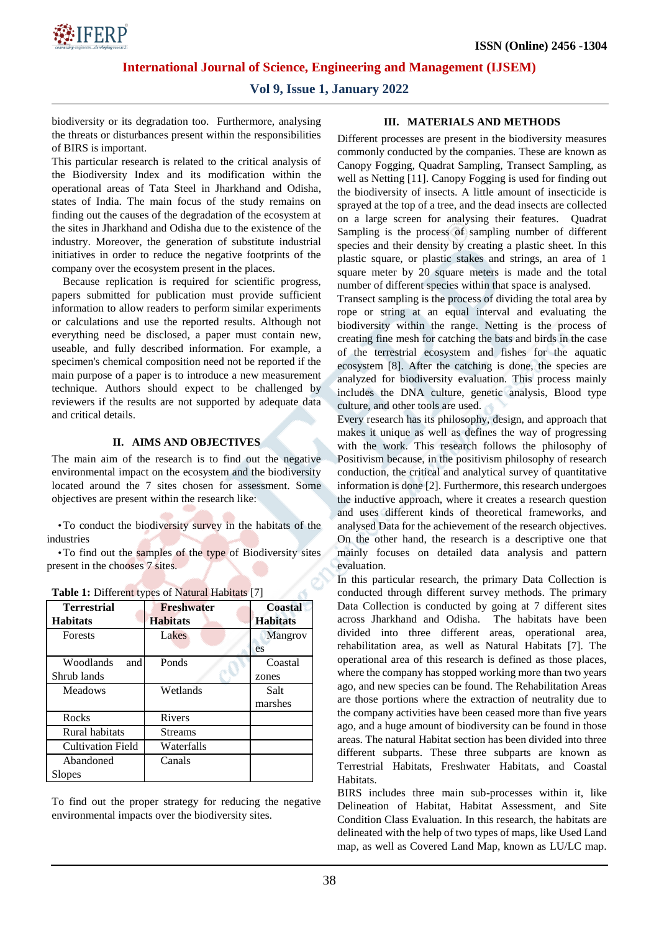

### **Vol 9, Issue 1, January 2022**

biodiversity or its degradation too. Furthermore, analysing the threats or disturbances present within the responsibilities of BIRS is important.

This particular research is related to the critical analysis of the Biodiversity Index and its modification within the operational areas of Tata Steel in Jharkhand and Odisha, states of India. The main focus of the study remains on finding out the causes of the degradation of the ecosystem at the sites in Jharkhand and Odisha due to the existence of the industry. Moreover, the generation of substitute industrial initiatives in order to reduce the negative footprints of the company over the ecosystem present in the places.

Because replication is required for scientific progress, papers submitted for publication must provide sufficient information to allow readers to perform similar experiments or calculations and use the reported results. Although not everything need be disclosed, a paper must contain new, useable, and fully described information. For example, a specimen's chemical composition need not be reported if the main purpose of a paper is to introduce a new measurement technique. Authors should expect to be challenged by reviewers if the results are not supported by adequate data and critical details.

#### **II. AIMS AND OBJECTIVES**

The main aim of the research is to find out the negative environmental impact on the ecosystem and the biodiversity located around the 7 sites chosen for assessment. Some objectives are present within the research like:

•To conduct the biodiversity survey in the habitats of the industries

•To find out the samples of the type of Biodiversity sites present in the chooses 7 sites.

| <b>Terrestrial</b><br><b>Habitats</b> | <b>Freshwater</b><br><b>Habitats</b> | <b>Coastal</b><br><b>Habitats</b> |  |
|---------------------------------------|--------------------------------------|-----------------------------------|--|
| <b>Forests</b>                        | Lakes                                | Mangrov<br>es                     |  |
| Woodlands<br>and<br>Shrub lands       | Ponds                                | Coastal<br>zones                  |  |
| Meadows                               | Wetlands                             | Salt<br>marshes                   |  |
| Rocks                                 | Rivers                               |                                   |  |
| Rural habitats                        | <b>Streams</b>                       |                                   |  |
| <b>Cultivation Field</b>              | Waterfalls                           |                                   |  |
| Abandoned<br>Slopes                   | Canals                               |                                   |  |

|  | <b>Table 1:</b> Different types of Natural Habitats [7] |  |
|--|---------------------------------------------------------|--|
|  |                                                         |  |

To find out the proper strategy for reducing the negative environmental impacts over the biodiversity sites.

#### **III. MATERIALS AND METHODS**

Different processes are present in the biodiversity measures commonly conducted by the companies. These are known as Canopy Fogging, Quadrat Sampling, Transect Sampling, as well as Netting [11]. Canopy Fogging is used for finding out the biodiversity of insects. A little amount of insecticide is sprayed at the top of a tree, and the dead insects are collected on a large screen for analysing their features. Quadrat Sampling is the process of sampling number of different species and their density by creating a plastic sheet. In this plastic square, or plastic stakes and strings, an area of 1 square meter by 20 square meters is made and the total number of different species within that space is analysed.

Transect sampling is the process of dividing the total area by rope or string at an equal interval and evaluating the biodiversity within the range. Netting is the process of creating fine mesh for catching the bats and birds in the case of the terrestrial ecosystem and fishes for the aquatic ecosystem [8]. After the catching is done, the species are analyzed for biodiversity evaluation. This process mainly includes the DNA culture, genetic analysis, Blood type culture, and other tools are used.

Every research has its philosophy, design, and approach that makes it unique as well as defines the way of progressing with the work. This research follows the philosophy of Positivism because, in the positivism philosophy of research conduction, the critical and analytical survey of quantitative information is done [2]. Furthermore, this research undergoes the inductive approach, where it creates a research question and uses different kinds of theoretical frameworks, and analysed Data for the achievement of the research objectives. On the other hand, the research is a descriptive one that mainly focuses on detailed data analysis and pattern evaluation.

In this particular research, the primary Data Collection is conducted through different survey methods. The primary Data Collection is conducted by going at 7 different sites across Jharkhand and Odisha. The habitats have been divided into three different areas, operational area, rehabilitation area, as well as Natural Habitats [7]. The operational area of this research is defined as those places, where the company has stopped working more than two years ago, and new species can be found. The Rehabilitation Areas are those portions where the extraction of neutrality due to the company activities have been ceased more than five years ago, and a huge amount of biodiversity can be found in those areas. The natural Habitat section has been divided into three different subparts. These three subparts are known as Terrestrial Habitats, Freshwater Habitats, and Coastal Habitats.

BIRS includes three main sub-processes within it, like Delineation of Habitat, Habitat Assessment, and Site Condition Class Evaluation. In this research, the habitats are delineated with the help of two types of maps, like Used Land map, as well as Covered Land Map, known as LU/LC map.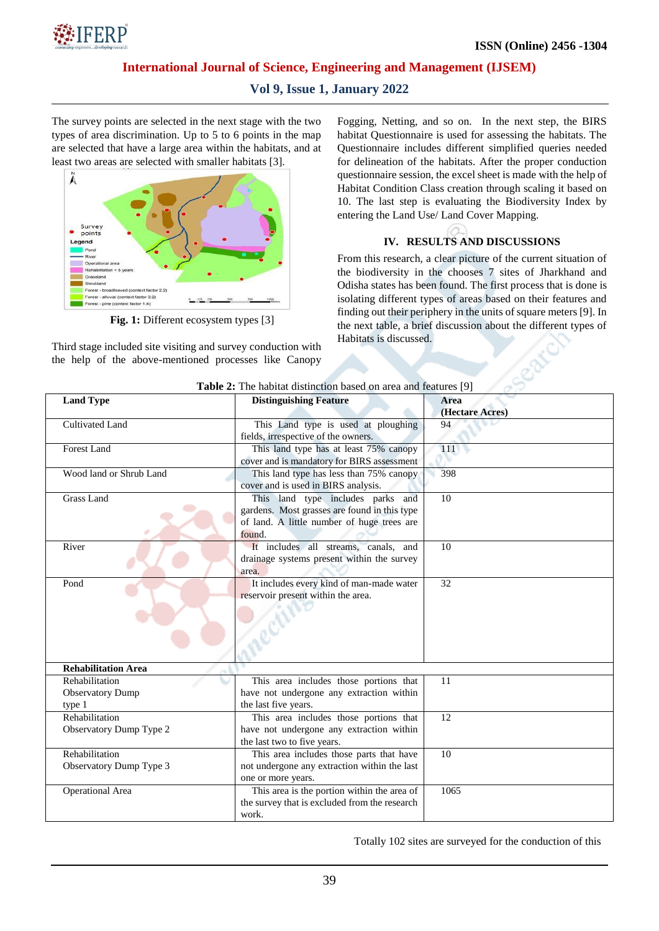

# **Vol 9, Issue 1, January 2022**

The survey points are selected in the next stage with the two types of area discrimination. Up to 5 to 6 points in the map are selected that have a large area within the habitats, and at least two areas are selected with smaller habitats [3].



**Fig. 1:** Different ecosystem types [3]

Third stage included site visiting and survey conduction with the help of the above-mentioned processes like Canopy Fogging, Netting, and so on. In the next step, the BIRS habitat Questionnaire is used for assessing the habitats. The Questionnaire includes different simplified queries needed for delineation of the habitats. After the proper conduction questionnaire session, the excel sheet is made with the help of Habitat Condition Class creation through scaling it based on 10. The last step is evaluating the Biodiversity Index by entering the Land Use/ Land Cover Mapping.

### **IV. RESULTS AND DISCUSSIONS**

From this research, a clear picture of the current situation of the biodiversity in the chooses 7 sites of Jharkhand and Odisha states has been found. The first process that is done is isolating different types of areas based on their features and finding out their periphery in the units of square meters [9]. In the next table, a brief discussion about the different types of Habitats is discussed.

| <b>Table 2:</b> The habitat distinction based on area and features [9] |                                               |                 |  |  |  |  |
|------------------------------------------------------------------------|-----------------------------------------------|-----------------|--|--|--|--|
| <b>Land Type</b>                                                       | <b>Distinguishing Feature</b>                 | Area            |  |  |  |  |
|                                                                        |                                               | (Hectare Acres) |  |  |  |  |
| Cultivated Land                                                        | This Land type is used at ploughing           | 94              |  |  |  |  |
|                                                                        | fields, irrespective of the owners.           |                 |  |  |  |  |
| Forest Land                                                            | This land type has at least 75% canopy        | 111             |  |  |  |  |
|                                                                        | cover and is mandatory for BIRS assessment    |                 |  |  |  |  |
| Wood land or Shrub Land                                                | This land type has less than 75% canopy       | 398             |  |  |  |  |
|                                                                        | cover and is used in BIRS analysis.           |                 |  |  |  |  |
| <b>Grass Land</b>                                                      | This land type includes parks and             | 10              |  |  |  |  |
|                                                                        | gardens. Most grasses are found in this type  |                 |  |  |  |  |
|                                                                        | of land. A little number of huge trees are    |                 |  |  |  |  |
|                                                                        | found.                                        |                 |  |  |  |  |
| River                                                                  | It includes all streams, canals, and          | 10              |  |  |  |  |
|                                                                        | drainage systems present within the survey    |                 |  |  |  |  |
|                                                                        | area.                                         |                 |  |  |  |  |
| Pond                                                                   | It includes every kind of man-made water      | 32              |  |  |  |  |
|                                                                        | reservoir present within the area.            |                 |  |  |  |  |
|                                                                        |                                               |                 |  |  |  |  |
|                                                                        |                                               |                 |  |  |  |  |
|                                                                        |                                               |                 |  |  |  |  |
|                                                                        |                                               |                 |  |  |  |  |
|                                                                        |                                               |                 |  |  |  |  |
| <b>Rehabilitation Area</b>                                             |                                               |                 |  |  |  |  |
| Rehabilitation                                                         | This area includes those portions that        | 11              |  |  |  |  |
| <b>Observatory Dump</b>                                                | have not undergone any extraction within      |                 |  |  |  |  |
| type 1                                                                 | the last five years.                          |                 |  |  |  |  |
| Rehabilitation                                                         | This area includes those portions that        | 12              |  |  |  |  |
| Observatory Dump Type 2                                                | have not undergone any extraction within      |                 |  |  |  |  |
|                                                                        | the last two to five years.                   |                 |  |  |  |  |
| Rehabilitation                                                         | This area includes those parts that have      | 10              |  |  |  |  |
| Observatory Dump Type 3                                                | not undergone any extraction within the last  |                 |  |  |  |  |
|                                                                        | one or more years.                            |                 |  |  |  |  |
| Operational Area                                                       | This area is the portion within the area of   | 1065            |  |  |  |  |
|                                                                        | the survey that is excluded from the research |                 |  |  |  |  |
|                                                                        | work.                                         |                 |  |  |  |  |

**Table 2:** The habitat distinction based on area and features [9]

Totally 102 sites are surveyed for the conduction of this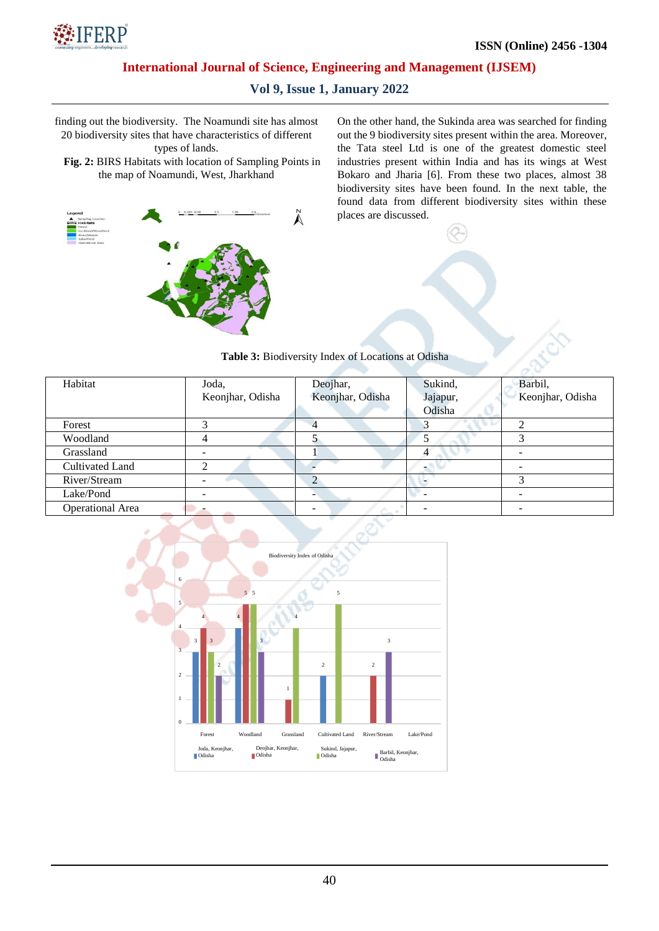

# **Vol 9, Issue 1, January 2022**

finding out the biodiversity. The Noamundi site has almost 20 biodiversity sites that have characteristics of different

types of lands.

**Fig. 2:** BIRS Habitats with location of Sampling Points in the map of Noamundi, West, Jharkhand



On the other hand, the Sukinda area was searched for finding out the 9 biodiversity sites present within the area. Moreover, the Tata steel Ltd is one of the greatest domestic steel industries present within India and has its wings at West Bokaro and Jharia [6]. From these two places, almost 38 biodiversity sites have been found. In the next table, the found data from different biodiversity sites within these places are discussed.

| Habitat                 | Joda,            | Deojhar,         | Sukind,  | Barbil,          |
|-------------------------|------------------|------------------|----------|------------------|
|                         | Keonjhar, Odisha | Keonjhar, Odisha | Jajapur, | Keonjhar, Odisha |
|                         |                  |                  | Odisha   |                  |
| Forest                  |                  |                  |          |                  |
| Woodland                |                  |                  |          |                  |
| Grassland               |                  |                  |          |                  |
| Cultivated Land         |                  |                  |          |                  |
| River/Stream            |                  |                  |          | 2                |
| Lake/Pond               |                  |                  |          |                  |
| <b>Operational Area</b> |                  |                  |          |                  |

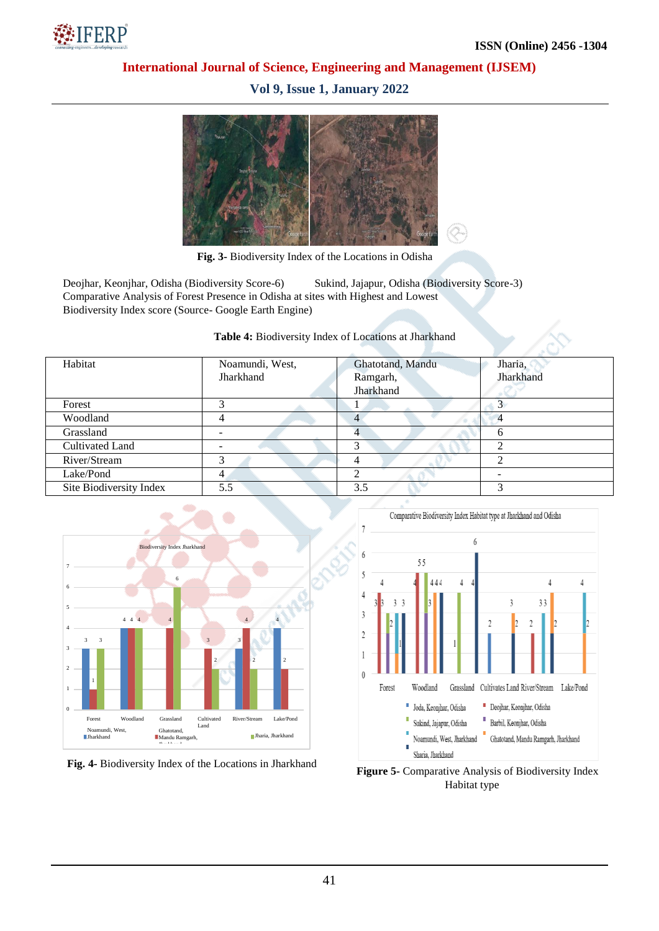

**Vol 9, Issue 1, January 2022**



**Fig. 3-** Biodiversity Index of the Locations in Odisha

Deojhar, Keonjhar, Odisha (Biodiversity Score-6) Sukind, Jajapur, Odisha (Biodiversity Score-3) Comparative Analysis of Forest Presence in Odisha at sites with Highest and Lowest Biodiversity Index score (Source- Google Earth Engine)

#### **Table 4:** Biodiversity Index of Locations at Jharkhand

| Habitat                 | Noamundi, West, | Ghatotand, Mandu | Jharia,   |
|-------------------------|-----------------|------------------|-----------|
|                         | Jharkhand       | Ramgarh,         | Jharkhand |
|                         |                 | Jharkhand        |           |
| Forest                  |                 |                  |           |
| Woodland                |                 |                  | 4         |
| Grassland               |                 |                  |           |
| Cultivated Land         |                 |                  |           |
| River/Stream            |                 |                  |           |
| Lake/Pond               |                 |                  |           |
| Site Biodiversity Index | 5.5             | 3.5              |           |







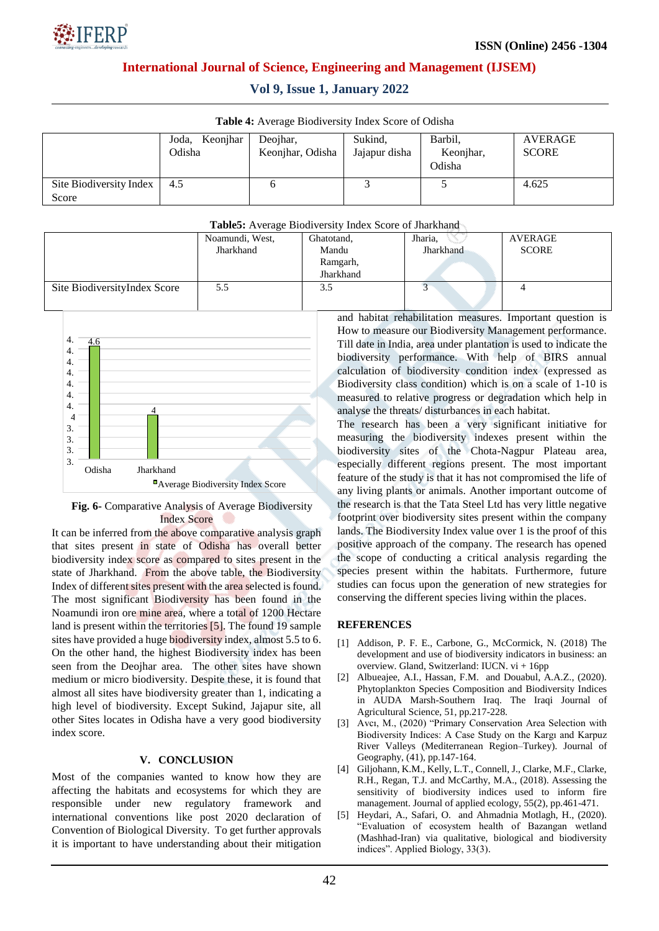|  |  | Vol 9, Issue 1, January 2022 |  |
|--|--|------------------------------|--|
|  |  |                              |  |

| <b>THOIC</b> To INVERGE DROGHVEISH, HRICA DOOLO OF OGRSHIP |                |                  |               |                     |                |  |
|------------------------------------------------------------|----------------|------------------|---------------|---------------------|----------------|--|
|                                                            | Joda, Keonjhar | Deojhar,         | Sukind,       | Barbil.             | <b>AVERAGE</b> |  |
|                                                            | Odisha         | Keonjhar, Odisha | Jajapur disha | Keonjhar,<br>Odisha | <b>SCORE</b>   |  |
| Site Biodiversity Index                                    | -4.5           |                  |               |                     | 4.625          |  |
| Score                                                      |                |                  |               |                     |                |  |

#### **Table5:** Average Biodiversity Index Score of Jharkhand Noamundi, West, Jharkhand Ghatotand, Mandu Ramgarh, Jharkhand Jharia, Jharkhand AVERAGE **SCORE** Site BiodiversityIndex Score 5.5 3.5 3.5 3.5 4 and habitat rehabilitation measures. Important question is 4.6 4. 4. 4. 4.



#### **Fig. 6-** Comparative Analysis of Average Biodiversity Index Score

It can be inferred from the above comparative analysis graph that sites present in state of Odisha has overall better biodiversity index score as compared to sites present in the state of Jharkhand. From the above table, the Biodiversity Index of different sites present with the area selected is found. The most significant Biodiversity has been found in the Noamundi iron ore mine area, where a total of 1200 Hectare land is present within the territories [5]. The found 19 sample sites have provided a huge biodiversity index, almost 5.5 to 6. On the other hand, the highest Biodiversity index has been seen from the Deojhar area. The other sites have shown medium or micro biodiversity. Despite these, it is found that almost all sites have biodiversity greater than 1, indicating a high level of biodiversity. Except Sukind, Jajapur site, all other Sites locates in Odisha have a very good biodiversity index score.

### **V. CONCLUSION**

Most of the companies wanted to know how they are affecting the habitats and ecosystems for which they are responsible under new regulatory framework and international conventions like post 2020 declaration of Convention of Biological Diversity. To get further approvals it is important to have understanding about their mitigation How to measure our Biodiversity Management performance. Till date in India, area under plantation is used to indicate the biodiversity performance. With help of BIRS annual calculation of biodiversity condition index (expressed as Biodiversity class condition) which is on a scale of 1-10 is measured to relative progress or degradation which help in analyse the threats/ disturbances in each habitat.

The research has been a very significant initiative for measuring the biodiversity indexes present within the biodiversity sites of the Chota-Nagpur Plateau area, especially different regions present. The most important feature of the study is that it has not compromised the life of any living plants or animals. Another important outcome of the research is that the Tata Steel Ltd has very little negative footprint over biodiversity sites present within the company lands. The Biodiversity Index value over 1 is the proof of this positive approach of the company. The research has opened the scope of conducting a critical analysis regarding the species present within the habitats. Furthermore, future studies can focus upon the generation of new strategies for conserving the different species living within the places.

### **REFERENCES**

- [1] Addison, P. F. E., Carbone, G., McCormick, N. (2018) The development and use of biodiversity indicators in business: an overview. Gland, Switzerland: IUCN. vi + 16pp
- [2] Albueajee, A.I., Hassan, F.M. and Douabul, A.A.Z., (2020). Phytoplankton Species Composition and Biodiversity Indices in AUDA Marsh-Southern Iraq. The Iraqi Journal of Agricultural Science, 51, pp.217-228.
- [3] Avcı, M., (2020) "Primary Conservation Area Selection with Biodiversity Indices: A Case Study on the Kargı and Karpuz River Valleys (Mediterranean Region–Turkey). Journal of Geography, (41), pp.147-164.
- [4] Giljohann, K.M., Kelly, L.T., Connell, J., Clarke, M.F., Clarke, R.H., Regan, T.J. and McCarthy, M.A., (2018). Assessing the sensitivity of biodiversity indices used to inform fire management. Journal of applied ecology, 55(2), pp.461-471.
- [5] Heydari, A., Safari, O. and Ahmadnia Motlagh, H., (2020). "Evaluation of ecosystem health of Bazangan wetland (Mashhad-Iran) via qualitative, biological and biodiversity indices". Applied Biology, 33(3).